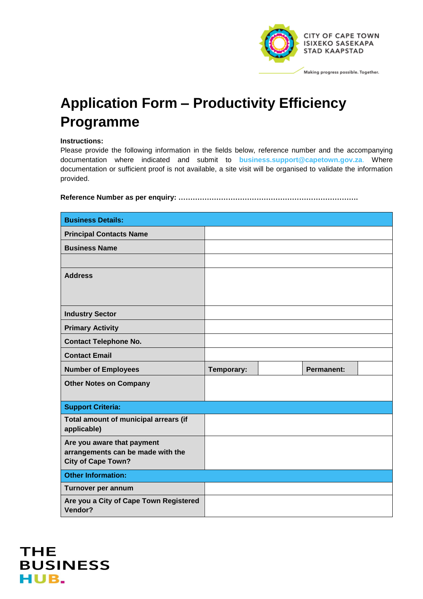

## **Application Form – Productivity Efficiency Programme**

## **Instructions:**

Please provide the following information in the fields below, reference number and the accompanying documentation where indicated and submit to **business.support@capetown.gov.za**. Where documentation or sufficient proof is not available, a site visit will be organised to validate the information provided.

**Reference Number as per enquiry: ………………………………………………………………….**

| <b>Business Details:</b>                                       |            |  |                   |  |
|----------------------------------------------------------------|------------|--|-------------------|--|
| <b>Principal Contacts Name</b>                                 |            |  |                   |  |
| <b>Business Name</b>                                           |            |  |                   |  |
|                                                                |            |  |                   |  |
| <b>Address</b>                                                 |            |  |                   |  |
|                                                                |            |  |                   |  |
|                                                                |            |  |                   |  |
| <b>Industry Sector</b>                                         |            |  |                   |  |
| <b>Primary Activity</b>                                        |            |  |                   |  |
| <b>Contact Telephone No.</b>                                   |            |  |                   |  |
| <b>Contact Email</b>                                           |            |  |                   |  |
|                                                                |            |  |                   |  |
| <b>Number of Employees</b>                                     | Temporary: |  | <b>Permanent:</b> |  |
| <b>Other Notes on Company</b>                                  |            |  |                   |  |
|                                                                |            |  |                   |  |
| <b>Support Criteria:</b>                                       |            |  |                   |  |
| Total amount of municipal arrears (if<br>applicable)           |            |  |                   |  |
| Are you aware that payment                                     |            |  |                   |  |
| arrangements can be made with the<br><b>City of Cape Town?</b> |            |  |                   |  |
| <b>Other Information:</b>                                      |            |  |                   |  |
| Turnover per annum                                             |            |  |                   |  |

**THE BUSINESS** HUB.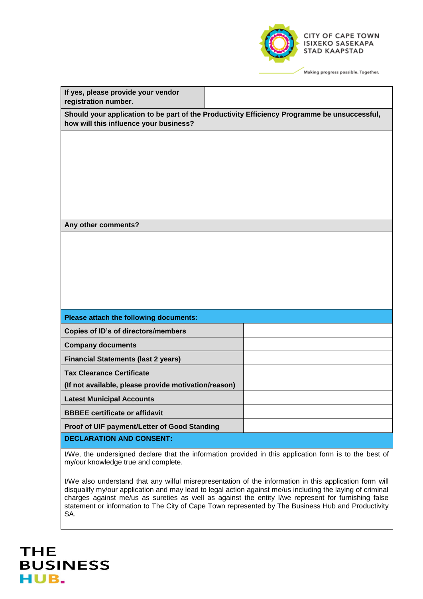

| If yes, please provide your vendor<br>registration number.                                          |                                                                                                  |
|-----------------------------------------------------------------------------------------------------|--------------------------------------------------------------------------------------------------|
| how will this influence your business?                                                              | Should your application to be part of the Productivity Efficiency Programme be unsuccessful,     |
|                                                                                                     |                                                                                                  |
|                                                                                                     |                                                                                                  |
|                                                                                                     |                                                                                                  |
|                                                                                                     |                                                                                                  |
|                                                                                                     |                                                                                                  |
| Any other comments?                                                                                 |                                                                                                  |
|                                                                                                     |                                                                                                  |
|                                                                                                     |                                                                                                  |
|                                                                                                     |                                                                                                  |
|                                                                                                     |                                                                                                  |
|                                                                                                     |                                                                                                  |
|                                                                                                     |                                                                                                  |
| Please attach the following documents:                                                              |                                                                                                  |
| <b>Copies of ID's of directors/members</b>                                                          |                                                                                                  |
| <b>Company documents</b>                                                                            |                                                                                                  |
| <b>Financial Statements (last 2 years)</b>                                                          |                                                                                                  |
| <b>Tax Clearance Certificate</b>                                                                    |                                                                                                  |
| (If not available, please provide motivation/reason)                                                |                                                                                                  |
| <b>Latest Municipal Accounts</b>                                                                    |                                                                                                  |
| <b>BBBEE</b> certificate or affidavit                                                               |                                                                                                  |
| Proof of UIF payment/Letter of Good Standing                                                        |                                                                                                  |
| <b>DECLARATION AND CONSENT:</b>                                                                     |                                                                                                  |
| $1000 \pm 0.00$ and $1000 \pm 0.000$ and $1000 \pm 0.000$ and $1000 \pm 0.000$ and $1000 \pm 0.000$ | the first that an experience is the contract of the con-<br>and the control of the<br>$\epsilon$ |

I/We, the undersigned declare that the information provided in this application form is to the best of my/our knowledge true and complete.

I/We also understand that any wilful misrepresentation of the information in this application form will disqualify my/our application and may lead to legal action against me/us including the laying of criminal charges against me/us as sureties as well as against the entity I/we represent for furnishing false statement or information to The City of Cape Town represented by The Business Hub and Productivity SA.